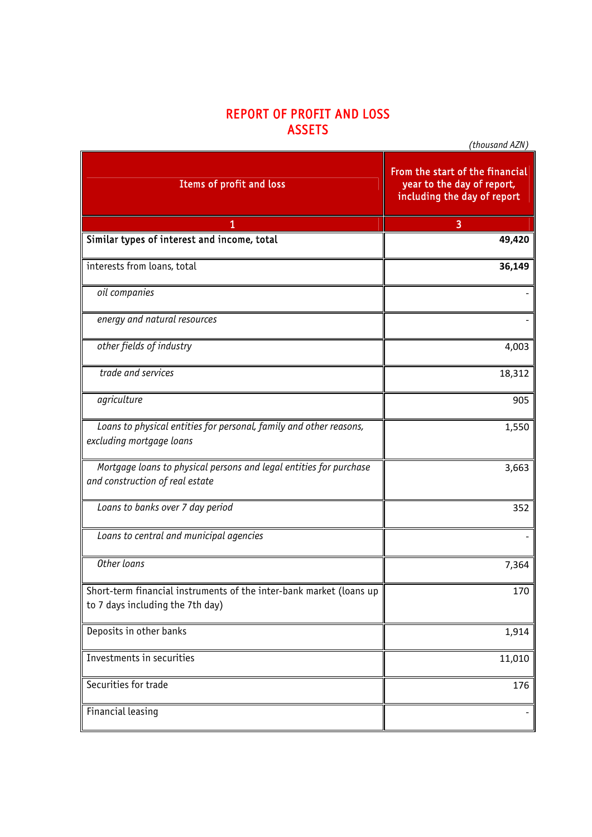## REPORT OF PROFIT AND LOSS **ASSETS**

 $\overline{a}$ 

*(thousand AZN)*

| Items of profit and loss                                                                                | From the start of the financial<br>year to the day of report,<br>including the day of report |
|---------------------------------------------------------------------------------------------------------|----------------------------------------------------------------------------------------------|
|                                                                                                         | 3                                                                                            |
| Similar types of interest and income, total                                                             | 49,420                                                                                       |
| interests from loans, total                                                                             | 36,149                                                                                       |
| oil companies                                                                                           |                                                                                              |
| energy and natural resources                                                                            |                                                                                              |
| other fields of industry                                                                                | 4,003                                                                                        |
| trade and services                                                                                      | 18,312                                                                                       |
| agriculture                                                                                             | 905                                                                                          |
| Loans to physical entities for personal, family and other reasons,<br>excluding mortgage loans          | 1,550                                                                                        |
| Mortgage loans to physical persons and legal entities for purchase<br>and construction of real estate   | 3,663                                                                                        |
| Loans to banks over 7 day period                                                                        | 352                                                                                          |
| Loans to central and municipal agencies                                                                 |                                                                                              |
| Other loans                                                                                             | 7,364                                                                                        |
| Short-term financial instruments of the inter-bank market (loans up<br>to 7 days including the 7th day) | 170                                                                                          |
| Deposits in other banks                                                                                 | 1,914                                                                                        |
| Investments in securities                                                                               | 11,010                                                                                       |
| Securities for trade                                                                                    | 176                                                                                          |
| Financial leasing                                                                                       |                                                                                              |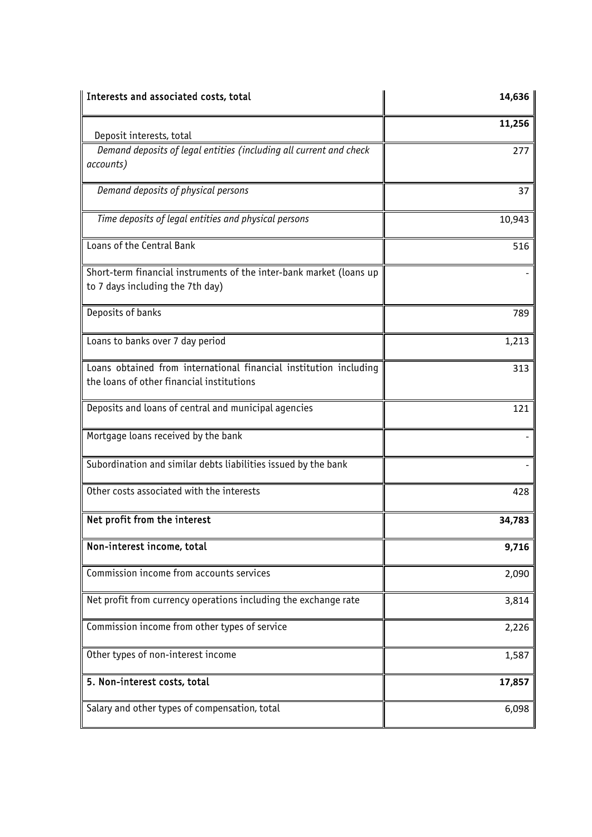| Interests and associated costs, total                                                                          | 14,636 |
|----------------------------------------------------------------------------------------------------------------|--------|
| Deposit interests, total                                                                                       | 11,256 |
| Demand deposits of legal entities (including all current and check<br>accounts)                                | 277    |
| Demand deposits of physical persons                                                                            | 37     |
| Time deposits of legal entities and physical persons                                                           | 10,943 |
| Loans of the Central Bank                                                                                      | 516    |
| Short-term financial instruments of the inter-bank market (loans up<br>to 7 days including the 7th day)        |        |
| Deposits of banks                                                                                              | 789    |
| Loans to banks over 7 day period                                                                               | 1,213  |
| Loans obtained from international financial institution including<br>the loans of other financial institutions | 313    |
| Deposits and loans of central and municipal agencies                                                           | 121    |
| Mortgage loans received by the bank                                                                            |        |
| Subordination and similar debts liabilities issued by the bank                                                 |        |
| Other costs associated with the interests                                                                      | 428    |
| Net profit from the interest                                                                                   | 34,783 |
| Non-interest income, total                                                                                     | 9,716  |
| Commission income from accounts services                                                                       | 2,090  |
| Net profit from currency operations including the exchange rate                                                | 3,814  |
| Commission income from other types of service                                                                  | 2,226  |
| Other types of non-interest income                                                                             | 1,587  |
| 5. Non-interest costs, total                                                                                   | 17,857 |
| Salary and other types of compensation, total                                                                  | 6,098  |